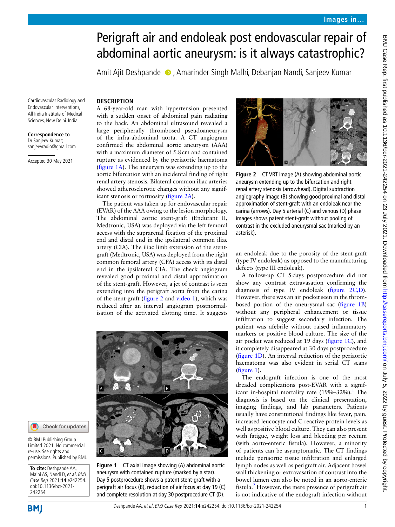# Perigraft air and endoleak post endovascular repair of abdominal aortic aneurysm: is it always catastrophic?

AmitAjit Deshpande  $\bullet$ , Amarinder Singh Malhi, Debanjan Nandi, Sanjeev Kumar

Cardiovascular Radiology and Endovascular Interventions, All India Institute of Medical Sciences, New Delhi, India

#### **Correspondence to** Dr Sanjeev Kumar; sanjeevradio@gmail.com

Accepted 30 May 2021

**DESCRIPTION** A 68-year-old man with hypertension presented with a sudden onset of abdominal pain radiating to the back. An abdominal ultrasound revealed a large peripherally thrombosed pseudoaneurysm of the infra-abdominal aorta. A CT angiogram confirmed the abdominal aortic aneurysm (AAA) with a maximum diameter of 5.8cm and contained rupture as evidenced by the periaortic haematoma ([figure](#page-0-0) 1A). The aneurysm was extending up to the aortic bifurcation with an incidental finding of right renal artery stenosis. Bilateral common iliac arteries showed atherosclerotic changes without any significant stenosis or tortuosity [\(figure](#page-0-1) 2A).

The patient was taken up for endovascular repair (EVAR) of the AAA owing to the lesion morphology. The abdominal aortic stent-graft (Endurant II, Medtronic, USA) was deployed via the left femoral access with the suprarenal fixation of the proximal end and distal end in the ipsilateral common iliac artery (CIA). The iliac limb extension of the stentgraft (Medtronic, USA) was deployed from the right common femoral artery (CFA) access with its distal end in the ipsilateral CIA. The check angiogram revealed good proximal and distal approximation of the stent-graft. However, a jet of contrast is seen extending into the perigraft aorta from the carina of the stent-graft [\(figure](#page-0-1) 2 and [video](#page-1-0) 1), which was reduced after an interval angiogram postnormalisation of the activated clotting time. It suggests



**Figure 1** CT axial image showing (A) abdominal aortic aneurysm with contained rupture (marked by a star). Day 5 postprocedure shows a patent stent-graft with a perigraft air focus (B), reduction of air focus at day 19 (C) and complete resolution at day 30 postprocedure CT (D).

<span id="page-0-1"></span>

**Figure 2** CT VRT image (A) showing abdominal aortic aneurysm extending up to the bifurcation and right renal artery stenosis (arrowhead). Digital subtraction angiography image (B) showing good proximal and distal approximation of stent-graft with an endoleak near the carina (arrows). Day 5 arterial (C) and venous (D) phase images shows patent stent-graft without pooling of contrast in the excluded aneurysmal sac (marked by an asterisk).

an endoleak due to the porosity of the stent-graft (type IV endoleak) as opposed to the manufacturing defects (type III endoleak).

A follow-up CT 5days postprocedure did not show any contrast extravasation confirming the diagnosis of type IV endoleak [\(figure](#page-0-1) 2C,D). However, there was an air pocket seen in the thrombosed portion of the aneurysmal sac ([figure](#page-0-0) 1B) without any peripheral enhancement or tissue infiltration to suggest secondary infection. The patient was afebrile without raised inflammatory markers or positive blood culture. The size of the air pocket was reduced at 19 days ([figure](#page-0-0) 1C), and it completely disappeared at 30 days postprocedure ([figure](#page-0-0) 1D). An interval reduction of the periaortic haematoma was also evident in serial CT scans ([figure](#page-0-0) 1).

The endograft infection is one of the most dreaded complications post-EVAR with a significant in-hospital mortality rate  $(19\% - 32\%)$  $(19\% - 32\%)$  $(19\% - 32\%)$ .<sup>1</sup> The diagnosis is based on the clinical presentation, imaging findings, and lab parameters. Patients usually have constitutional findings like fever, pain, increased leucocyte and C reactive protein levels as well as positive blood culture. They can also present with fatigue, weight loss and bleeding per rectum (with aorto-enteric fistula). However, a minority of patients can be asymptomatic. The CT findings include periaortic tissue infiltration and enlarged lymph nodes as well as perigraft air. Adjacent bowel wall thickening or extravasation of contrast into the bowel lumen can also be noted in an aorto-enteric fistula.<sup>[2](#page-1-2)</sup> However, the mere presence of perigraft air is not indicative of the endograft infection without

re-use. See rights and permissions. Published by BMJ.

© BMJ Publishing Group Limited 2021. No commercial

Check for updates

**To cite:** Deshpande AA, Malhi AS, Nandi D, et al. BMJ Case Rep 2021;**14**:e242254. doi:10.1136/bcr-2021- 242254

<span id="page-0-0"></span>Deshpande AA, et al. BMJ Case Rep 2021;**14**:e242254. doi:10.1136/bcr-2021-242254 1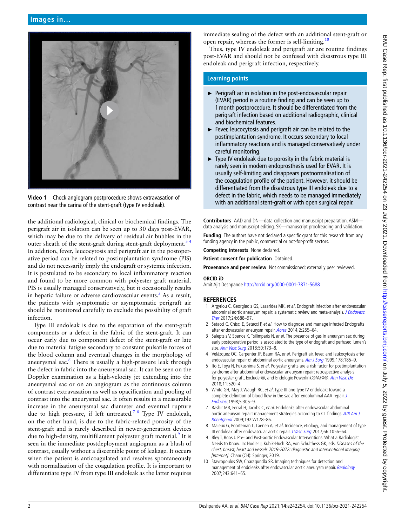

**Video 1** Check angiogram postprocedure shows extravasation of contrast near the carina of the stent-graft (type IV endoleak).

<span id="page-1-0"></span>the additional radiological, clinical or biochemical findings. The perigraft air in isolation can be seen up to 30 days post-EVAR, which may be due to the delivery of residual air bubbles in the outer sheath of the stent-graft during stent-graft deployment.<sup>34</sup> In addition, fever, leucocytosis and perigraft air in the postoperative period can be related to postimplantation syndrome (PIS) and do not necessarily imply the endograft or systemic infection. It is postulated to be secondary to local inflammatory reaction and found to be more common with polyester graft material. PIS is usually managed conservatively, but it occasionally results in hepatic failure or adverse cardiovascular events.<sup>5</sup> As a result, the patients with symptomatic or asymptomatic perigraft air should be monitored carefully to exclude the possibility of graft infection.

Type III endoleak is due to the separation of the stent-graft components or a defect in the fabric of the stent-graft. It can occur early due to component defect of the stent-graft or late due to material fatigue secondary to constant pulsatile forces of the blood column and eventual changes in the morphology of aneurysmal sac.<sup>6</sup> There is usually a high-pressure leak through the defect in fabric into the aneurysmal sac. It can be seen on the Doppler examination as a high-velocity jet extending into the aneurysmal sac or on an angiogram as the continuous column of contrast extravasation as well as opacification and pooling of contrast into the aneurysmal sac. It often results in a measurable increase in the aneurysmal sac diameter and eventual rupture due to high pressure, if left untreated.<sup>78</sup> Type IV endoleak, on the other hand, is due to the fabric-related porosity of the stent-graft and is rarely described in newer-generation devices due to high-density, multifilament polyester graft material.<sup>9</sup> It is seen in the immediate postdeployment angiogram as a blush of contrast, usually without a discernible point of leakage. It occurs when the patient is anticoagulated and resolves spontaneously with normalisation of the coagulation profile. It is important to differentiate type IV from type III endoleak as the latter requires

immediate sealing of the defect with an additional stent-graft or open repair, whereas the former is self-limiting.<sup>1</sup>

Thus, type IV endoleak and perigraft air are routine findings post-EVAR and should not be confused with disastrous type III endoleak and perigraft infection, respectively.

## **Learning points**

- ► Perigraft air in isolation in the post-endovascular repair (EVAR) period is a routine finding and can be seen up to 1month postprocedure. It should be differentiated from the perigraft infection based on additional radiographic, clinical and biochemical features.
- ► Fever, leucocytosis and perigraft air can be related to the postimplantation syndrome. It occurs secondary to local inflammatory reactions and is managed conservatively under careful monitoring.
- ► Type IV endoleak due to porosity in the fabric material is rarely seen in modern endoprosthesis used for EVAR. It is usually self-limiting and disappears postnormalisation of the coagulation profile of the patient. However, it should be differentiated from the disastrous type III endoleak due to a defect in the fabric, which needs to be managed immediately with an additional stent-graft or with open surgical repair.

**Contributors** AAD and DN—data collection and manuscript preparation. ASM data analysis and manuscript editing. SK—manuscript proofreading and validation.

**Funding** The authors have not declared a specific grant for this research from any funding agency in the public, commercial or not-for-profit sectors.

**Competing interests** None declared.

**Patient consent for publication** Obtained.

**Provenance and peer review** Not commissioned; externally peer reviewed.

#### **ORCID iD**

Amit Ajit Deshpande<http://orcid.org/0000-0001-7871-5688>

### **REFERENCES**

- <span id="page-1-1"></span>1 Argyriou C, Georgiadis GS, Lazarides MK, et al. Endograft infection after endovascular abdominal aortic aneurysm repair: a systematic review and meta-analysis. J Endovasc [Ther](http://dx.doi.org/10.1177/1526602817722018) 2017;24:688–97.
- <span id="page-1-2"></span>2 Setacci C, Chisci E, Setacci F, et al. How to diagnose and manage infected Endografts after endovascular aneurysm repair. [Aorta](http://dx.doi.org/10.12945/j.aorta.2014.14-036) 2014;2:255–64.
- <span id="page-1-3"></span>3 Saleptsis V, Spanos K, Tsilimparis N, et al. The presence of gas in aneurysm sac during early postoperative period is associated to the type of endograft and perfused lumen's size. [Ann Vasc Surg](http://dx.doi.org/10.1016/j.avsg.2017.11.067) 2018;50:173–8.
- 4 Velázquez OC, Carpenter JP, Baum RA, et al. Perigraft air, fever, and leukocytosis after endovascular repair of abdominal aortic aneurysms. [Am J Surg](http://dx.doi.org/10.1016/S0002-9610(99)00144-0) 1999;178:185-9.
- <span id="page-1-4"></span>5 Ito E, Toya N, Fukushima S, et al. Polyester grafts are a risk factor for postimplantation syndrome after abdominal endovascular aneurysm repair: retrospective analysis for polyester graft, Excluder®, and Endologix Powerlink®/AFX®. [Ann Vasc Dis](http://dx.doi.org/10.3400/avd.oa.18-00058) 2018;11:520–4.
- <span id="page-1-5"></span>6 White GH, May J, Waugh RC, et al. Type III and type IV endoleak: toward a complete definition of blood flow in the sac after endoluminal AAA repair. [J](http://dx.doi.org/10.1583/1074-6218(1998)005<0305:TIATIE>2.0.CO;2)  [Endovasc](http://dx.doi.org/10.1583/1074-6218(1998)005<0305:TIATIE>2.0.CO;2)1998;5:305–9.
- <span id="page-1-6"></span>7 Bashir MR, Ferral H, Jacobs C, et al. Endoleaks after endovascular abdominal aortic aneurysm repair: management strategies according to CT findings. AJR Am J [Roentgenol](http://dx.doi.org/10.2214/AJR.08.1593) 2009;192:W178–86.
- 8 Maleux G, Poorteman L, Laenen A, et al. Incidence, etiology, and management of type III endoleak after endovascular aortic repair. [J Vasc Surg](http://dx.doi.org/10.1016/j.jvs.2017.01.056) 2017;66:1056-64.
- <span id="page-1-7"></span>9 Bley T, Roos J. Pre- and Post-aortic Endovascular Interventions: What a Radiologist Needs to Know. In: Hodler J, Kubik-Huch RA, von Schulthess GK, eds. Diseases of the chest, breast, heart and vessels 2019-2022: diagnostic and interventional imaging [Internet]. Cham (CH): Springer, 2019.
- <span id="page-1-8"></span>10 Stavropoulos SW, Charagundla SR. Imaging techniques for detection and management of endoleaks after endovascular aortic aneurysm repair. [Radiology](http://dx.doi.org/10.1148/radiol.2433051649) 2007;243:641–55.